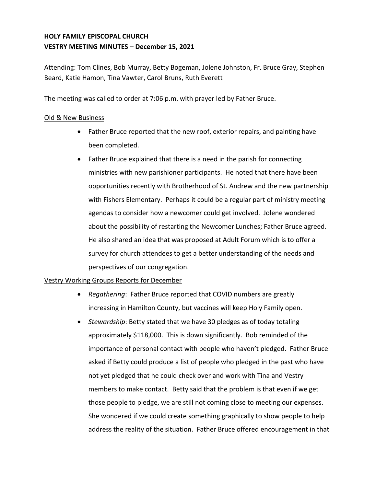# **HOLY FAMILY EPISCOPAL CHURCH VESTRY MEETING MINUTES – December 15, 2021**

Attending: Tom Clines, Bob Murray, Betty Bogeman, Jolene Johnston, Fr. Bruce Gray, Stephen Beard, Katie Hamon, Tina Vawter, Carol Bruns, Ruth Everett

The meeting was called to order at 7:06 p.m. with prayer led by Father Bruce.

### Old & New Business

- Father Bruce reported that the new roof, exterior repairs, and painting have been completed.
- Father Bruce explained that there is a need in the parish for connecting ministries with new parishioner participants. He noted that there have been opportunities recently with Brotherhood of St. Andrew and the new partnership with Fishers Elementary. Perhaps it could be a regular part of ministry meeting agendas to consider how a newcomer could get involved. Jolene wondered about the possibility of restarting the Newcomer Lunches; Father Bruce agreed. He also shared an idea that was proposed at Adult Forum which is to offer a survey for church attendees to get a better understanding of the needs and perspectives of our congregation.

## Vestry Working Groups Reports for December

- *Regathering*: Father Bruce reported that COVID numbers are greatly increasing in Hamilton County, but vaccines will keep Holy Family open.
- *Stewardship*: Betty stated that we have 30 pledges as of today totaling approximately \$118,000. This is down significantly. Bob reminded of the importance of personal contact with people who haven't pledged. Father Bruce asked if Betty could produce a list of people who pledged in the past who have not yet pledged that he could check over and work with Tina and Vestry members to make contact. Betty said that the problem is that even if we get those people to pledge, we are still not coming close to meeting our expenses. She wondered if we could create something graphically to show people to help address the reality of the situation. Father Bruce offered encouragement in that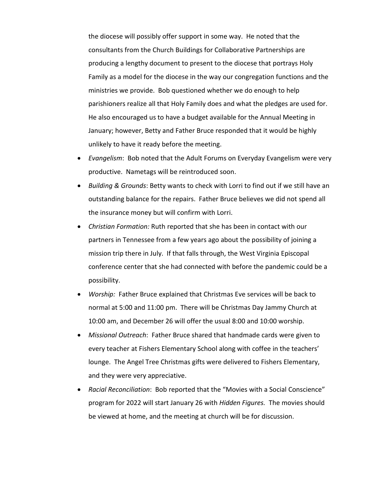the diocese will possibly offer support in some way. He noted that the consultants from the Church Buildings for Collaborative Partnerships are producing a lengthy document to present to the diocese that portrays Holy Family as a model for the diocese in the way our congregation functions and the ministries we provide. Bob questioned whether we do enough to help parishioners realize all that Holy Family does and what the pledges are used for. He also encouraged us to have a budget available for the Annual Meeting in January; however, Betty and Father Bruce responded that it would be highly unlikely to have it ready before the meeting.

- *Evangelism*: Bob noted that the Adult Forums on Everyday Evangelism were very productive. Nametags will be reintroduced soon.
- *Building & Grounds*: Betty wants to check with Lorri to find out if we still have an outstanding balance for the repairs. Father Bruce believes we did not spend all the insurance money but will confirm with Lorri.
- *Christian Formation:* Ruth reported that she has been in contact with our partners in Tennessee from a few years ago about the possibility of joining a mission trip there in July. If that falls through, the West Virginia Episcopal conference center that she had connected with before the pandemic could be a possibility.
- *Worship:* Father Bruce explained that Christmas Eve services will be back to normal at 5:00 and 11:00 pm. There will be Christmas Day Jammy Church at 10:00 am, and December 26 will offer the usual 8:00 and 10:00 worship.
- *Missional Outreach*: Father Bruce shared that handmade cards were given to every teacher at Fishers Elementary School along with coffee in the teachers' lounge. The Angel Tree Christmas gifts were delivered to Fishers Elementary, and they were very appreciative.
- *Racial Reconciliation*: Bob reported that the "Movies with a Social Conscience" program for 2022 will start January 26 with *Hidden Figures.* The movies should be viewed at home, and the meeting at church will be for discussion.